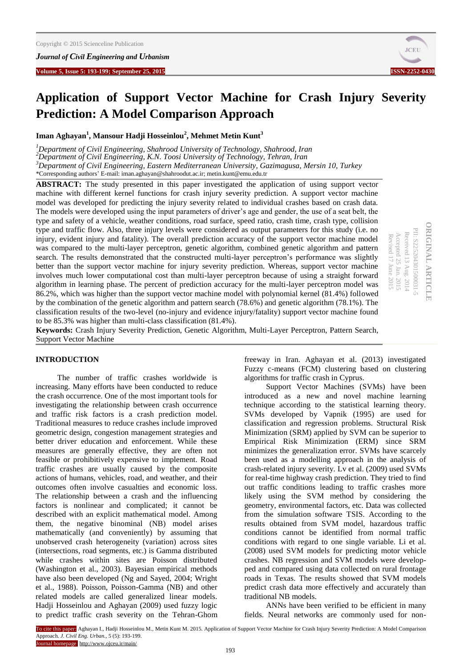*Journal of Civil Engineering and Urbanism*



# **Application of Support Vector Machine for Crash Injury Severity Prediction: A Model Comparison Approach**

**Iman Aghayan<sup>1</sup> , Mansour Hadji Hosseinlou<sup>2</sup> , Mehmet Metin Kunt<sup>3</sup>**

*Department of Civil Engineering, Shahrood University of Technology, Shahrood, Iran Department of Civil Engineering, K.N. Toosi University of Technology, Tehran, Iran Department of Civil Engineering, Eastern Mediterranean University, Gazimagusa, Mersin 10, Turkey* \*Corresponding authors' E-mail[: iman.aghayan@s](mailto:iman.aghayan@cc.emu.edu.tr)hahroodut.ac.ir[; metin.kunt@emu.edu.tr](mailto:metin.kunt@emu.edu.tr)

**ABSTRACT:** The study presented in this paper investigated the application of using support vector machine with different kernel functions for crash injury severity prediction. A support vector machine model was developed for predicting the injury severity related to individual crashes based on crash data. The models were developed using the input parameters of driver's age and gender, the use of a seat belt, the type and safety of a vehicle, weather conditions, road surface, speed ratio, crash time, crash type, collision type and traffic flow. Also, three injury levels were considered as output parameters for this study (i.e. no injury, evident injury and fatality). The overall prediction accuracy of the support vector machine model was compared to the multi-layer perceptron, genetic algorithm, combined genetic algorithm and pattern search. The results demonstrated that the constructed multi-layer perceptron's performance was slightly better than the support vector machine for injury severity prediction. Whereas, support vector machine involves much lower computational cost than multi-layer perceptron because of using a straight forward algorithm in learning phase. The percent of prediction accuracy for the multi-layer perceptron model was 86.2%, which was higher than the support vector machine model with polynomial kernel (81.4%) followed by the combination of the genetic algorithm and pattern search (78.6%) and genetic algorithm (78.1%). The classification results of the two-level (no-injury and evidence injury/fatality) support vector machine found to be 85.3% was higher than multi-class classification (81.4%).

**ORIGINAL ARTICLE ORIGINAL ARTICLE** PII: S225204301500031-PII: S225204301500031-5 Received 13 Aug. Received 13 Aug. 2014 Accepted 25 Jan. 2015<br>Revised 17 June 2015 Accepted 25 Jan. 2015 Revised 17 June  $.2015$  $.2014$ 

**Keywords:** Crash Injury Severity Prediction, Genetic Algorithm, Multi-Layer Perceptron, Pattern Search, Support Vector Machine

#### **INTRODUCTION**

The number of traffic crashes worldwide is increasing. Many efforts have been conducted to reduce the crash occurrence. One of the most important tools for investigating the relationship between crash occurrence and traffic risk factors is a crash prediction model. Traditional measures to reduce crashes include improved geometric design, congestion management strategies and better driver education and enforcement. While these measures are generally effective, they are often not feasible or prohibitively expensive to implement. Road traffic crashes are usually caused by the composite actions of humans, vehicles, road, and weather, and their outcomes often involve casualties and economic loss. The relationship between a crash and the influencing factors is nonlinear and complicated; it cannot be described with an explicit mathematical model. Among them, the negative binominal (NB) model arises mathematically (and conveniently) by assuming that unobserved crash heterogeneity (variation) across sites (intersections, road segments, etc.) is Gamma distributed while crashes within sites are Poisson distributed (Washington et al., 2003). Bayesian empirical methods have also been developed (Ng and Sayed, 2004; Wright et al., 1988). Poisson, Poisson-Gamma (NB) and other related models are called generalized linear models. Hadji Hosseinlou and Aghayan (2009) used fuzzy logic to predict traffic crash severity on the Tehran-Ghom freeway in Iran. Aghayan et al. (2013) investigated Fuzzy c-means (FCM) clustering based on clustering algorithms for traffic crash in Cyprus.

Support Vector Machines (SVMs) have been introduced as a new and novel machine learning technique according to the statistical learning theory. SVMs developed by Vapnik (1995) are used for classification and regression problems. Structural Risk Minimization (SRM) applied by SVM can be superior to Empirical Risk Minimization (ERM) since SRM minimizes the generalization error. SVMs have scarcely been used as a modelling approach in the analysis of crash-related injury severity. Lv et al. (2009) used SVMs for real-time highway crash prediction. They tried to find out traffic conditions leading to traffic crashes more likely using the SVM method by considering the geometry, environmental factors, etc. Data was collected from the simulation software TSIS. According to the results obtained from SVM model, hazardous traffic conditions cannot be identified from normal traffic conditions with regard to one single variable. Li et al. (2008) used SVM models for predicting motor vehicle crashes. NB regression and SVM models were developped and compared using data collected on rural frontage roads in Texas. The results showed that SVM models predict crash data more effectively and accurately than traditional NB models.

ANNs have been verified to be efficient in many fields. Neural networks are commonly used for non-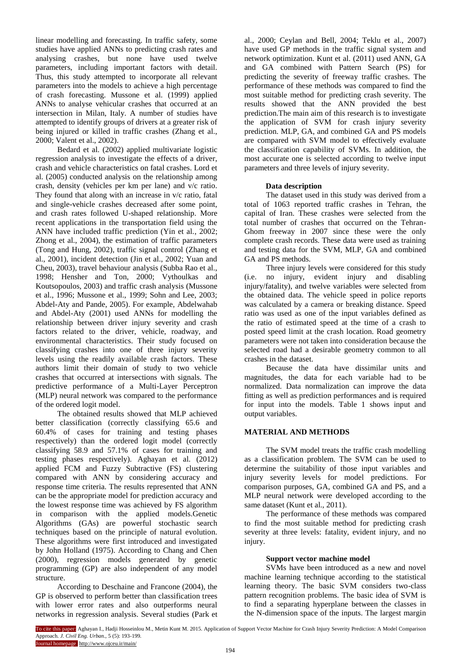linear modelling and forecasting. In traffic safety, some studies have applied ANNs to predicting crash rates and analysing crashes, but none have used twelve parameters, including important factors with detail. Thus, this study attempted to incorporate all relevant parameters into the models to achieve a high percentage of crash forecasting. Mussone et al. (1999) applied ANNs to analyse vehicular crashes that occurred at an intersection in Milan, Italy. A number of studies have attempted to identify groups of drivers at a greater risk of being injured or killed in traffic crashes (Zhang et al., 2000; Valent et al., 2002).

Bedard et al. (2002) applied multivariate logistic regression analysis to investigate the effects of a driver, crash and vehicle characteristics on fatal crashes. Lord et al. (2005) conducted analysis on the relationship among crash, density (vehicles per km per lane) and v/c ratio. They found that along with an increase in v/c ratio, fatal and single-vehicle crashes decreased after some point, and crash rates followed U-shaped relationship. More recent applications in the transportation field using the ANN have included traffic prediction (Yin et al., 2002; Zhong et al., 2004), the estimation of traffic parameters (Tong and Hung, 2002), traffic signal control (Zhang et al., 2001), incident detection (Jin et al., 2002; Yuan and Cheu, 2003), travel behaviour analysis (Subba Rao et al., 1998; Hensher and Ton, 2000; Vythoulkas and Koutsopoulos, 2003) and traffic crash analysis (Mussone et al., 1996; Mussone et al., 1999; Sohn and Lee, 2003; Abdel-Aty and Pande, 2005). For example, Abdelwahab and Abdel-Aty (2001) used ANNs for modelling the relationship between driver injury severity and crash factors related to the driver, vehicle, roadway, and environmental characteristics. Their study focused on classifying crashes into one of three injury severity levels using the readily available crash factors. These authors limit their domain of study to two vehicle crashes that occurred at intersections with signals. The predictive performance of a Multi-Layer Perceptron (MLP) neural network was compared to the performance of the ordered logit model.

The obtained results showed that MLP achieved better classification (correctly classifying 65.6 and 60.4% of cases for training and testing phases respectively) than the ordered logit model (correctly classifying 58.9 and 57.1% of cases for training and testing phases respectively). Aghayan et al. (2012) applied FCM and Fuzzy Subtractive (FS) clustering compared with ANN by considering accuracy and response time criteria. The results represented that ANN can be the appropriate model for prediction accuracy and the lowest response time was achieved by FS algorithm in comparison with the applied models.Genetic Algorithms (GAs) are powerful stochastic search techniques based on the principle of natural evolution. These algorithms were first introduced and investigated by John Holland (1975). According to Chang and Chen (2000), regression models generated by genetic programming (GP) are also independent of any model structure.

According to Deschaine and Francone (2004), the GP is observed to perform better than classification trees with lower error rates and also outperforms neural networks in regression analysis. Several studies (Park et al., 2000; Ceylan and Bell, 2004; Teklu et al., 2007) have used GP methods in the traffic signal system and network optimization. Kunt et al. (2011) used ANN, GA and GA combined with Pattern Search (PS) for predicting the severity of freeway traffic crashes. The performance of these methods was compared to find the most suitable method for predicting crash severity. The results showed that the ANN provided the best prediction.The main aim of this research is to investigate the application of SVM for crash injury severity prediction. MLP, GA, and combined GA and PS models are compared with SVM model to effectively evaluate the classification capability of SVMs. In addition, the most accurate one is selected according to twelve input parameters and three levels of injury severity.

# **Data description**

The dataset used in this study was derived from a total of 1063 reported traffic crashes in Tehran, the capital of Iran. These crashes were selected from the total number of crashes that occurred on the Tehran-Ghom freeway in 2007 since these were the only complete crash records. These data were used as training and testing data for the SVM, MLP, GA and combined GA and PS methods.

Three injury levels were considered for this study (i.e. no injury, evident injury and disabling injury/fatality), and twelve variables were selected from the obtained data. The vehicle speed in police reports was calculated by a camera or breaking distance. Speed ratio was used as one of the input variables defined as the ratio of estimated speed at the time of a crash to posted speed limit at the crash location. Road geometry parameters were not taken into consideration because the selected road had a desirable geometry common to all crashes in the dataset.

Because the data have dissimilar units and magnitudes, the data for each variable had to be normalized. Data normalization can improve the data fitting as well as prediction performances and is required for input into the models. Table 1 shows input and output variables.

# **MATERIAL AND METHODS**

The SVM model treats the traffic crash modelling as a classification problem. The SVM can be used to determine the suitability of those input variables and injury severity levels for model predictions. For comparison purposes, GA, combined GA and PS, and a MLP neural network were developed according to the same dataset (Kunt et al., 2011).

The performance of these methods was compared to find the most suitable method for predicting crash severity at three levels: fatality, evident injury, and no injury.

#### **Support vector machine model**

SVMs have been introduced as a new and novel machine learning technique according to the statistical learning theory. The basic SVM considers two-class pattern recognition problems. The basic idea of SVM is to find a separating hyperplane between the classes in the N-dimension space of the inputs. The largest margin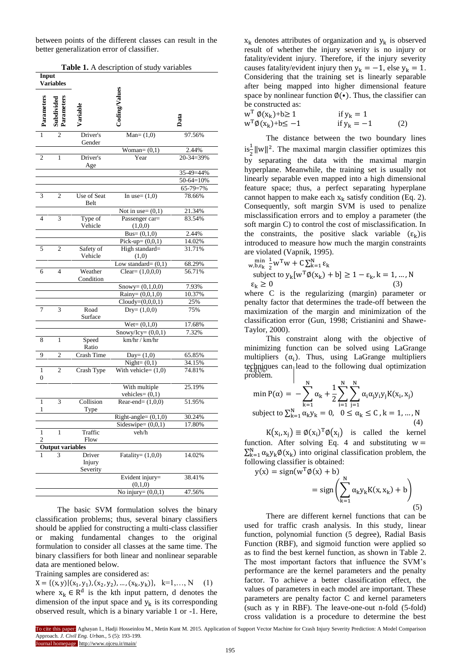between points of the different classes can result in the better generalization error of classifier.

|                     |                          |                              | <b>Table 1.</b> A description of study variables |             |
|---------------------|--------------------------|------------------------------|--------------------------------------------------|-------------|
| Input               | <b>Variables</b>         |                              |                                                  |             |
| Parameters          | Subdivided<br>Parameters | Variable                     | Coding/Values                                    | Data        |
| $\overline{1}$      | $\overline{2}$           | Driver's<br>Gender           | $Man = (1,0)$                                    | 97.56%      |
|                     |                          |                              | Woman= $(0,1)$                                   | 2.44%       |
| 2                   | 1                        | Driver's<br>Age              | Year                                             | 20-34=39%   |
|                     |                          |                              |                                                  | 35-49=44%   |
|                     |                          |                              |                                                  | $50-64=10%$ |
|                     |                          |                              |                                                  | 65-79=7%    |
| 3                   | $\overline{c}$           | Use of Seat<br>Belt          | In use= $(1,0)$                                  | 78.66%      |
|                     |                          |                              | Not in use= $(0,1)$                              | 21.34%      |
| $\overline{4}$      | 3                        | Type of<br>Vehicle           | Passenger car=<br>(1,0,0)                        | 83.54%      |
|                     |                          |                              | Bus= $(0,1,0)$                                   | 2.44%       |
|                     |                          |                              | $Pick-up = (0,0,1)$                              | 14.02%      |
| 5                   | 2                        | Safety of<br>Vehicle         | High standard=<br>(1,0)                          | 31.71%      |
|                     |                          |                              | Low standard= $(0,1)$                            | 68.29%      |
| 6                   | $\overline{4}$           | Weather<br>Condition         | Clear= $(1,0,0,0)$                               | 56.71%      |
|                     |                          |                              | Snowy= $(0,1,0,0)$                               | 7.93%       |
|                     |                          |                              | Rainy= $(0,0,1,0)$                               | 10.37%      |
|                     |                          |                              | $Cloudy=(0,0,0,1)$                               | 25%         |
| 7                   | 3                        | Road<br>Surface              | $Dry=(1,0,0)$                                    | 75%         |
|                     |                          |                              | $Wet = (0,1,0)$                                  | 17.68%      |
|                     |                          |                              | $Snowy/Icy = (0,0,1)$                            | 7.32%       |
| 8                   | $\mathbf{1}$             | Speed<br>Ratio               | km/hr / km/hr                                    |             |
| 9                   | $\mathfrak{2}$           | Crash Time                   | Day= $(1,0)$                                     | 65.85%      |
|                     |                          |                              | Night= $(0,1)$                                   | 34.15%      |
| 1<br>0              | 2                        | Crash Type                   | With vehicle= $(1,0)$                            | 74.81%      |
|                     |                          |                              | With multiple<br>vehicles= $(0,1)$               | 25.19%      |
| $\mathbf{1}$<br>1   | $\overline{\mathbf{3}}$  | Collision<br>Type            | Rear-end= $(1,0,0)$                              | 51.95%      |
|                     |                          |                              | Right-angle= $(0,1,0)$                           | 30.24%      |
|                     |                          |                              | Sideswipe= $(0,0,1)$                             | 17.80%      |
| 1<br>$\overline{c}$ | 1                        | Traffic<br>Flow              | veh/h                                            |             |
|                     | <b>Output variables</b>  |                              |                                                  |             |
|                     | 3                        | Driver<br>Injury<br>Severity | Fatality= $(1,0,0)$                              | 14.02%      |
|                     |                          |                              | Evident injury=<br>(0,1,0)                       | 38.41%      |
|                     |                          |                              | No injury= $(0,0,1)$                             | 47.56%      |
|                     |                          |                              |                                                  |             |

**Table 1.** A description of study variables

The basic SVM formulation solves the binary classification problems; thus, several binary classifiers should be applied for constructing a multi-class classifier or making fundamental changes to the original formulation to consider all classes at the same time. The binary classifiers for both linear and nonlinear separable data are mentioned below.

Training samples are considered as:

 $X = \{ (x, y) | (x_1, y_1), (x_2, y_2), ..., (x_k, y_k) \}, \quad k=1,..., N$  (1) where  $x_k \in R^d$  is the kth input pattern, d denotes the dimension of the input space and  $y_k$  is its corresponding observed result, which is a binary variable 1 or -1. Here,

 $x_k$  denotes attributes of organization and  $y_k$  is observed result of whether the injury severity is no injury or fatality/evident injury. Therefore, if the injury severity causes fatality/evident injury then  $y_k = -1$ , else  $y_k = 1$ . Considering that the training set is linearly separable after being mapped into higher dimensional feature space by nonlinear function  $\phi(\cdot)$ . Thus, the classifier can be constructed as:

 $w^T \phi(x_k)+b \ge 1$  if  $y_k = 1$ <br>  $w^T \phi(x_k)+b \le -1$  if  $y_k = -1$  $w^T \phi(x_k) + b \le -1$  if  $y_k = -1$  (2)

The distance between the two boundary lines  $\frac{1}{2} ||w||^2$ . The maximal margin classifier optimizes this by separating the data with the maximal margin hyperplane. Meanwhile, the training set is usually not linearly separable even mapped into a high dimensional feature space; thus, a perfect separating hyperplane cannot happen to make each  $x_k$  satisfy condition (Eq. 2). Consequently, soft margin SVM is used to penalize misclassification errors and to employ a parameter (the soft margin C) to control the cost of misclassification. In the constraints, the positive slack variable  $(\varepsilon_k)$  is introduced to measure how much the margin constraints are violated (Vapnik, 1995).

$$
\begin{array}{l}\n\min_{w,b,\varepsilon_k} \frac{1}{2} w^{\mathrm{T}} w + C \sum_{k=1}^{N} \varepsilon_k\\ \n\text{subject to } y_k[w^{\mathrm{T}} \emptyset(x_k) + b] \ge 1 - \varepsilon_k, k = 1, \dots, N\\ \n\varepsilon_k \ge 0 \tag{3}\n\end{array}
$$

where C is the regularizing (margin) parameter or penalty factor that determines the trade-off between the maximization of the margin and minimization of the classification error (Gun, 1998; Cristianini and Shawe-Taylor, 2000).

This constraint along with the objective of minimizing function can be solved using LaGrange multipliers  $(\alpha_i)$ . Thus, using LaGrange multipliers techniques can lead to the following dual optimization problem.

$$
\min P(\alpha) = -\sum_{k=1}^{N} \alpha_k + \frac{1}{2} \sum_{i=1}^{N} \sum_{j=1}^{N} \alpha_i \alpha_j y_i y_j K(x_i, x_j)
$$
  
subject to  $\sum_{k=1}^{N} \alpha_k y_k = 0, \quad 0 \le \alpha_k \le C, k = 1, ..., N$  (4)

 $K(x_i, x_i) \equiv \phi(x_i)^T \phi(x_i)$  is called the kernel function. After solving Eq. 4 and substituting  $w =$  $\sum_{k=1}^{N} \alpha_k y_k \emptyset(x_k)$  into original classification problem, the following classifier is obtained:

$$
y(x) = sign(w^{T}\emptyset(x) + b)
$$
  
= sign $\left(\sum_{k=1}^{N} \alpha_{k}y_{k}K(x, x_{k}) + b\right)$   
(5)

There are different kernel functions that can be used for traffic crash analysis. In this study, linear function, polynomial function (5 degree), Radial Basis Function (RBF), and sigmoid function were applied so as to find the best kernel function, as shown in Table 2. The most important factors that influence the SVM's performance are the kernel parameters and the penalty factor. To achieve a better classification effect, the values of parameters in each model are important. These parameters are penalty factor C and kernel parameters (such as  $\gamma$  in RBF). The leave-one-out n-fold (5-fold) cross validation is a procedure to determine the best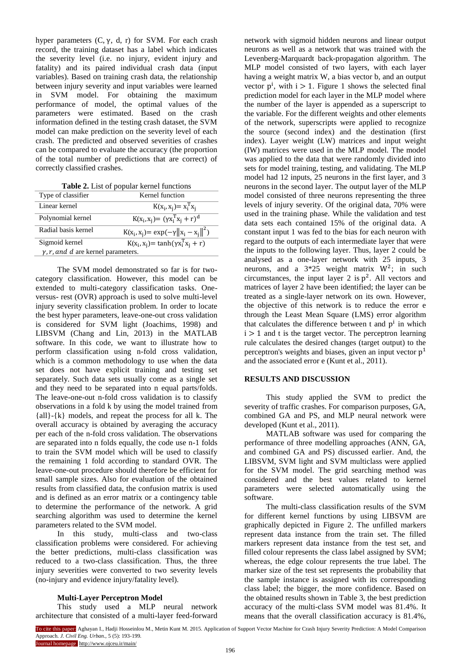hyper parameters  $(C, v, d, r)$  for SVM. For each crash record, the training dataset has a label which indicates the severity level (i.e. no injury, evident injury and fatality) and its paired individual crash data (input variables). Based on training crash data, the relationship between injury severity and input variables were learned in SVM model. For obtaining the maximum performance of model, the optimal values of the parameters were estimated. Based on the crash information defined in the testing crash dataset, the SVM model can make prediction on the severity level of each crash. The predicted and observed severities of crashes can be compared to evaluate the accuracy (the proportion of the total number of predictions that are correct) of correctly classified crashes.

| Table 2. List of popular kernel functions |  |  |
|-------------------------------------------|--|--|
|-------------------------------------------|--|--|

| Type of classifier                         | Kernel function                              |  |  |
|--------------------------------------------|----------------------------------------------|--|--|
| Linear kernel                              | $K(x_i, x_j) = x_i^T x_j$                    |  |  |
| Polynomial kernel                          | $K(x_i, x_j) = (\gamma x_i^T x_j + r)^d$     |  |  |
| Radial basis kernel                        | $K(x_i, x_j) = exp(-\gamma   x_i - x_i  ^2)$ |  |  |
| Sigmoid kernel                             | $K(x_i, x_j) = \tanh(\gamma x_i^T x_i + r)$  |  |  |
| $\gamma$ , r, and d are kernel parameters. |                                              |  |  |

The SVM model demonstrated so far is for twocategory classification. However, this model can be extended to multi-category classification tasks. Oneversus- rest (OVR) approach is used to solve multi-level injury severity classification problem. In order to locate the best hyper parameters, leave-one-out cross validation is considered for SVM light (Joachims, 1998) and LIBSVM (Chang and Lin, 2013) in the MATLAB software. In this code, we want to illustrate how to perform classification using n-fold cross validation, which is a common methodology to use when the data set does not have explicit training and testing set separately. Such data sets usually come as a single set and they need to be separated into n equal parts/folds. The leave-one-out n-fold cross validation is to classify observations in a fold k by using the model trained from  ${all}$  {all} -{k} models, and repeat the process for all k. The overall accuracy is obtained by averaging the accuracy per each of the n-fold cross validation. The observations are separated into n folds equally, the code use n-1 folds to train the SVM model which will be used to classify the remaining 1 fold according to standard OVR. The leave-one-out procedure should therefore be efficient for small sample sizes. Also for evaluation of the obtained results from classified data, the confusion matrix is used and is defined as an error matrix or a contingency table to determine the performance of the network. A grid searching algorithm was used to determine the kernel parameters related to the SVM model.

In this study, multi-class and two-class classification problems were considered. For achieving the better predictions, multi-class classification was reduced to a two-class classification. Thus, the three injury severities were converted to two severity levels (no-injury and evidence injury/fatality level).

#### **Multi-Layer Perceptron Model**

This study used a MLP neural network architecture that consisted of a multi-layer feed-forward network with sigmoid hidden neurons and linear output neurons as well as a network that was trained with the Levenberg-Marquardt back-propagation algorithm. The MLP model consisted of two layers, with each layer having a weight matrix W, a bias vector b, and an output vector  $p^i$ , with  $i > 1$ . Figure 1 shows the selected final prediction model for each layer in the MLP model where the number of the layer is appended as a superscript to the variable. For the different weights and other elements of the network, superscripts were applied to recognize the source (second index) and the destination (first index). Layer weight (LW) matrices and input weight (IW) matrices were used in the MLP model. The model was applied to the data that were randomly divided into sets for model training, testing, and validating. The MLP model had 12 inputs, 25 neurons in the first layer, and 3 neurons in the second layer. The output layer of the MLP model consisted of three neurons representing the three levels of injury severity. Of the original data, 70% were used in the training phase. While the validation and test data sets each contained 15% of the original data. A constant input 1 was fed to the bias for each neuron with regard to the outputs of each intermediate layer that were the inputs to the following layer. Thus, layer 2 could be analysed as a one-layer network with 25 inputs, 3 neurons, and a  $3*25$  weight matrix  $W^2$ ; in such circumstances, the input layer 2 is  $p^2$ . All vectors and matrices of layer 2 have been identified; the layer can be treated as a single-layer network on its own. However, the objective of this network is to reduce the error e through the Least Mean Square (LMS) error algorithm that calculates the difference between  $t$  and  $p^i$  in which  $i > 1$  and t is the target vector. The perceptron learning rule calculates the desired changes (target output) to the perceptron's weights and biases, given an input vector  $p<sup>1</sup>$ and the associated error e (Kunt et al., 2011).

## **RESULTS AND DISCUSSION**

This study applied the SVM to predict the severity of traffic crashes. For comparison purposes, GA, combined GA and PS, and MLP neural network were developed (Kunt et al., 2011).

MATLAB software was used for comparing the performance of three modelling approaches (ANN, GA, and combined GA and PS) discussed earlier. And, the LIBSVM, SVM light and SVM multiclass were applied for the SVM model. The grid searching method was considered and the best values related to kernel parameters were selected automatically using the software.

The multi-class classification results of the SVM for different kernel functions by using LIBSVM are graphically depicted in Figure 2. The unfilled markers represent data instance from the train set. The filled markers represent data instance from the test set, and filled colour represents the class label assigned by SVM; whereas, the edge colour represents the true label. The marker size of the test set represents the probability that the sample instance is assigned with its corresponding class label; the bigger, the more confidence. Based on the obtained results shown in Table 3, the best prediction accuracy of the multi-class SVM model was 81.4%. It means that the overall classification accuracy is 81.4%,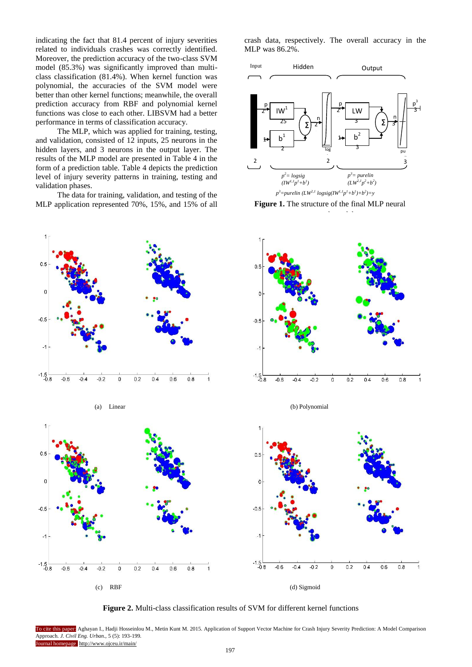indicating the fact that 81.4 percent of injury severities related to individuals crashes was correctly identified. Moreover, the prediction accuracy of the two-class SVM model (85.3%) was significantly improved than multiclass classification (81.4%). When kernel function was polynomial, the accuracies of the SVM model were better than other kernel functions; meanwhile, the overall prediction accuracy from RBF and polynomial kernel functions was close to each other. LIBSVM had a better performance in terms of classification accuracy.

The MLP, which was applied for training, testing, and validation, consisted of 12 inputs, 25 neurons in the hidden layers, and 3 neurons in the output layer. The results of the MLP model are presented in Table 4 in the form of a prediction table. Table 4 depicts the prediction level of injury severity patterns in training, testing and validation phases.

The data for training, validation, and testing of the MLP application represented 70%, 15%, and 15% of all







**Figure 1.** The structure of the final MLP neural



(a) Linear (b) Polynomial



**Figure 2.** Multi-class classification results of SVM for different kernel functions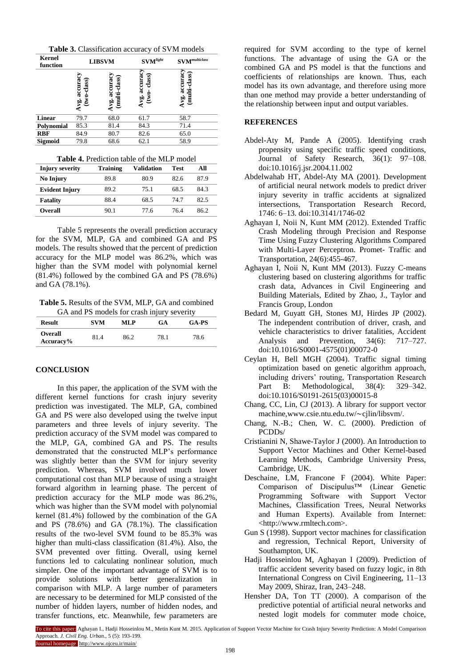**Table 3.** Classification accuracy of SVM models

| Kernel<br>function | <b>LIBSVM</b>              |                              | $\mathbf{SVM}^\mathit{light}$   | $\mathbf{SVM}^{multiclass}$    |  |
|--------------------|----------------------------|------------------------------|---------------------------------|--------------------------------|--|
|                    | vg. accuracy<br>two-class) | accuracy<br>ti-class<br>Avg. | class)<br>$Avg.$ accura<br>two. | multi-class)<br>accura<br>Avg. |  |
| <b>Linear</b>      | 79.7                       | 68.0                         | 61.7                            | 58.7                           |  |
| Polynomial         | 85.3                       | 81.4                         | 84.3                            | 71.4                           |  |
| <b>RBF</b>         | 84.9                       | 80.7                         | 82.6                            | 65.0                           |  |
| Sigmoid            | 79.8                       | 68.6                         | 62.1                            | 58.9                           |  |

| <b>Table 4.</b> Prediction table of the MLP model |  |  |
|---------------------------------------------------|--|--|
|---------------------------------------------------|--|--|

| <b>Injury severity</b> | <b>Training</b> | <b>Validation</b> | Test | All  |
|------------------------|-----------------|-------------------|------|------|
| No Injury              | 89.8            | 80.9              | 82.6 | 87.9 |
| <b>Evident Injury</b>  | 89.2            | 75.1              | 68.5 | 84.3 |
| <b>Fatality</b>        | 88.4            | 68.5              | 74.7 | 82.5 |
| <b>Overall</b>         | 90.1            | 77.6              | 76.4 | 86.2 |

Table 5 represents the overall prediction accuracy for the SVM, MLP, GA and combined GA and PS models. The results showed that the percent of prediction accuracy for the MLP model was 86.2%, which was higher than the SVM model with polynomial kernel (81.4%) followed by the combined GA and PS (78.6%) and GA (78.1%).

**Table 5.** Results of the SVM, MLP, GA and combined GA and PS models for crash injury severity

| <b>Result</b>                  | <b>SVM</b> | ML P | GA   | <b>GA-PS</b> |
|--------------------------------|------------|------|------|--------------|
| <b>Overall</b><br>$Accuracy\%$ | 81.4       | 86.2 | 78.1 | 78.6         |

## **CONCLUSION**

In this paper, the application of the SVM with the different kernel functions for crash injury severity prediction was investigated. The MLP, GA, combined GA and PS were also developed using the twelve input parameters and three levels of injury severity. The prediction accuracy of the SVM model was compared to the MLP, GA, combined GA and PS. The results demonstrated that the constructed MLP's performance was slightly better than the SVM for injury severity prediction. Whereas, SVM involved much lower computational cost than MLP because of using a straight forward algorithm in learning phase. The percent of prediction accuracy for the MLP mode was 86.2%, which was higher than the SVM model with polynomial kernel (81.4%) followed by the combination of the GA and PS (78.6%) and GA (78.1%). The classification results of the two-level SVM found to be 85.3% was higher than multi-class classification (81.4%). Also, the SVM prevented over fitting. Overall, using kernel functions led to calculating nonlinear solution, much simpler. One of the important advantage of SVM is to provide solutions with better generalization in comparison with MLP. A large number of parameters are necessary to be determined for MLP consisted of the number of hidden layers, number of hidden nodes, and transfer functions, etc. Meanwhile, few parameters are

required for SVM according to the type of kernel functions. The advantage of using the GA or the combined GA and PS model is that the functions and coefficients of relationships are known. Thus, each model has its own advantage, and therefore using more than one method may provide a better understanding of the relationship between input and output variables.

#### **REFERENCES**

- Abdel-Aty M, Pande A (2005). Identifying crash propensity using specific traffic speed conditions, Journal of Safety Research, 36(1): 97–108. doi:10.1016/j.jsr.2004.11.002
- Abdelwahab HT, Abdel-Aty MA (2001). Development of artificial neural network models to predict driver injury severity in traffic accidents at signalized intersections, Transportation Research Record, 1746: 6–13. doi:10.3141/1746-02
- Aghayan I, Noii N, Kunt MM (2012). Extended Traffic Crash Modeling through Precision and Response Time Using Fuzzy Clustering Algorithms Compared with Multi-Layer Perceptron. Promet- Traffic and Transportation, 24(6):455-467.
- Aghayan I, Noii N, Kunt MM (2013). Fuzzy C-means clustering based on clustering algorithms for traffic crash data, Advances in Civil Engineering and Building Materials, Edited by Zhao, J., Taylor and Francis Group, London
- Bedard M, Guyatt GH, Stones MJ, Hirdes JP (2002). The independent contribution of driver, crash, and vehicle characteristics to driver fatalities, Accident Analysis and Prevention, 34(6): 717–727. doi:10.1016/S0001-4575(01)00072-0
- Ceylan H, Bell MGH (2004). Traffic signal timing optimization based on genetic algorithm approach, including drivers' routing, Transportation Research Part B: Methodological, 38(4): 329–342. doi:10.1016/S0191-2615(03)00015-8
- Chang, CC, Lin, CJ (2013). A library for support vector machine,www.csie.ntu.edu.tw/∼cjlin/libsvm/.
- Chang, N.-B.; Chen, W. C. (2000). Prediction of PCDDs/
- Cristianini N, Shawe-Taylor J (2000). An Introduction to Support Vector Machines and Other Kernel-based Learning Methods, Cambridge University Press, Cambridge, UK.
- Deschaine, LM, Francone F (2004). White Paper: Comparison of Discipulus™ (Linear Genetic Programming Software with Support Vector Machines, Classification Trees, Neural Networks and Human Experts). Available from Internet: <http://www.rmltech.com>.
- Gun S (1998). Support vector machines for classification and regression, Technical Report, University of Southampton, UK.
- Hadji Hosseinlou M, Aghayan I (2009). Prediction of traffic accident severity based on fuzzy logic, in 8th International Congress on Civil Engineering, 11–13 May 2009, Shiraz, Iran, 243–248.
- Hensher DA, Ton TT (2000). A comparison of the predictive potential of artificial neural networks and nested logit models for commuter mode choice,

To cite this paper: Aghayan I., Hadji Hosseinlou M., Metin Kunt M. 2015. Application of Support Vector Machine for Crash Injury Severity Prediction: A Model Comparison Approach. *J. Civil Eng. Urban.,* 5 (5): 193-199. Journal homepage http://www.ojceu.ir/main/